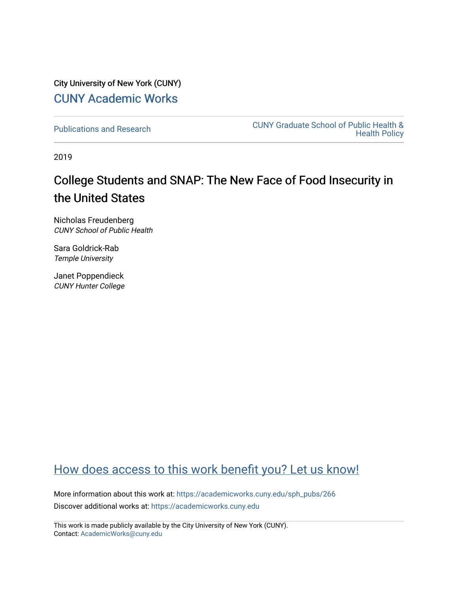City University of New York (CUNY) [CUNY Academic Works](https://academicworks.cuny.edu/) 

[Publications and Research](https://academicworks.cuny.edu/sph_pubs) [CUNY Graduate School of Public Health &](https://academicworks.cuny.edu/sph)  [Health Policy](https://academicworks.cuny.edu/sph) 

2019

# College Students and SNAP: The New Face of Food Insecurity in the United States

Nicholas Freudenberg CUNY School of Public Health

Sara Goldrick-Rab Temple University

Janet Poppendieck CUNY Hunter College

# [How does access to this work benefit you? Let us know!](http://ols.cuny.edu/academicworks/?ref=https://academicworks.cuny.edu/sph_pubs/266)

More information about this work at: [https://academicworks.cuny.edu/sph\\_pubs/266](https://academicworks.cuny.edu/sph_pubs/266)  Discover additional works at: [https://academicworks.cuny.edu](https://academicworks.cuny.edu/?)

This work is made publicly available by the City University of New York (CUNY). Contact: [AcademicWorks@cuny.edu](mailto:AcademicWorks@cuny.edu)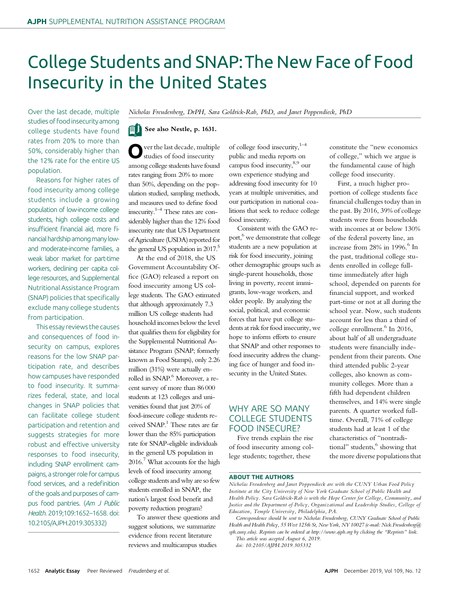# College Students and SNAP:The New Face of Food Insecurity in the United States

Over the last decade, multiple studies of food insecurity among college students have found rates from 20% to more than 50%, considerably higher than the 12% rate for the entire US population.

Reasons for higher rates of food insecurity among college students include a growing population of low-income college students, high college costs and insufficient financial aid, more financial hardship among many lowand moderate-income families, a weak labor market for part-time workers, declining per capita college resources, and Supplemental Nutritional Assistance Program (SNAP) policies that specifically exclude many college students from participation.

This essay reviews the causes and consequences of food insecurity on campus, explores reasons for the low SNAP participation rate, and describes how campuses have responded to food insecurity. It summarizes federal, state, and local changes in SNAP policies that can facilitate college student participation and retention and suggests strategies for more robust and effective university responses to food insecurity, including SNAP enrollment campaigns, a stronger role for campus food services, and a redefinition of the goals and purposes of campus food pantries. (Am J Public Health. 2019;109:1652–1658. doi: 10.2105/AJPH.2019.305332)

Nicholas Freudenberg, DrPH, Sara Goldrick-Rab, PhD, and Janet Poppendieck, PhD

## See also Nestle, p. 1631.

ver the last decade, multiple studies of food insecurity among college students have found rates ranging from 20% to more than 50%, depending on the population studied, sampling methods, and measures used to define food insecurity.1–<sup>4</sup> These rates are considerably higher than the 12% food insecurity rate that US Department of Agriculture (USDA) reported for the general US population in  $2017$ <sup>5</sup>

At the end of 2018, the US Government Accountability Office (GAO) released a report on food insecurity among US college students. The GAO estimated that although approximately 7.3 million US college students had household incomes below the level that qualifies them for eligibility for the Supplemental Nutritional Assistance Program (SNAP; formerly known as Food Stamps), only 2.26 million (31%) were actually enrolled in SNAP.<sup>6</sup> Moreover, a recent survey of more than 86 000 students at 123 colleges and universities found that just 20% of food-insecure college students received SNAP.<sup>1</sup> These rates are far lower than the 85% participation rate for SNAP-eligible individuals in the general US population in  $2016<sup>7</sup>$  What accounts for the high levels of food insecurity among college students and why are so few students enrolled in SNAP, the nation's largest food benefit and poverty reduction program?

To answer these questions and suggest solutions, we summarize evidence from recent literature reviews and multicampus studies

of college food insecurity, $1-4$ public and media reports on campus food insecurity,8,9 our own experience studying and addressing food insecurity for 10 years at multiple universities, and our participation in national coalitions that seek to reduce college food insecurity.

Consistent with the GAO report,<sup>6</sup> we demonstrate that college students are a new population at risk for food insecurity, joining other demographic groups such as single-parent households, those living in poverty, recent immigrants, low-wage workers, and older people. By analyzing the social, political, and economic forces that have put college students at risk for food insecurity, we hope to inform efforts to ensure that SNAP and other responses to food insecurity address the changing face of hunger and food insecurity in the United States.

# WHY ARE SO MANY COLLEGE STUDENTS FOOD INSECURE?

Five trends explain the rise of food insecurity among college students; together, these

constitute the "new economics of college," which we argue is the fundamental cause of high college food insecurity.

First, a much higher proportion of college students face financial challenges today than in the past. By 2016, 39% of college students were from households with incomes at or below 130% of the federal poverty line, an increase from  $28\%$  in  $1996$ .<sup>6</sup> In the past, traditional college students enrolled in college fulltime immediately after high school, depended on parents for financial support, and worked part-time or not at all during the school year. Now, such students account for less than a third of college enrollment. $6$  In 2016, about half of all undergraduate students were financially independent from their parents. One third attended public 2-year colleges, also known as community colleges. More than a fifth had dependent children themselves, and 14% were single parents. A quarter worked fulltime. Overall, 71% of college students had at least 1 of the characteristics of "nontraditional" students,<sup>6</sup> showing that the more diverse populations that

#### ABOUT THE AUTHORS

doi: 10.2105/AJPH.2019.305332

Nicholas Freudenberg and Janet Poppendieck are with the CUNY Urban Food Policy Institute at the City University of New York Graduate School of Public Health and Health Policy. Sara Goldrick-Rab is with the Hope Center for College, Community, and Justice and the Department of Policy, Organizational and Leadership Studies, College of Education, Temple University, Philadelphia, PA.

Correspondence should be sent to Nicholas Freudenberg, CUNY Graduate School of Public Health and Health Policy, 55 West 125th St, New York, NY 10027 (e-mail: [Nick.Freudenberg@](mailto:Nick.Freudenberg@sph.cuny.edu) [sph.cuny.edu\)](mailto:Nick.Freudenberg@sph.cuny.edu). Reprints can be ordered at<http://www.ajph.org> by clicking the "Reprints" link. This article was accepted August 6, 2019.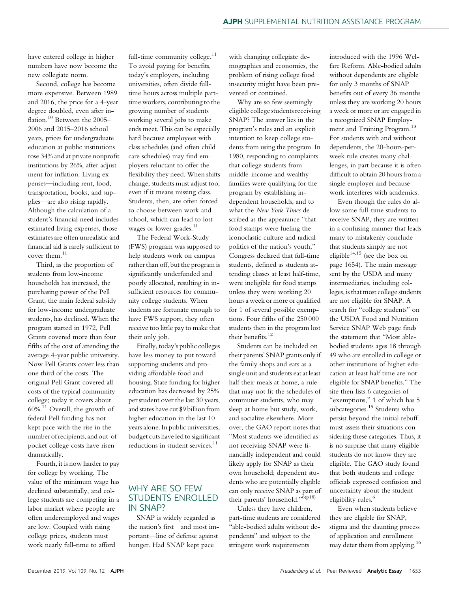have entered college in higher numbers have now become the new collegiate norm.

Second, college has become more expensive. Between 1989 and 2016, the price for a 4-year degree doubled, even after inflation.<sup>10</sup> Between the 2005-2006 and 2015–2016 school years, prices for undergraduate education at public institutions rose 34% and at private nonprofit institutions by 26%, after adjustment for inflation. Living expenses—including rent, food, transportation, books, and supplies—are also rising rapidly. Although the calculation of a student's financial need includes estimated living expenses, those estimates are often unrealistic and financial aid is rarely sufficient to cover them.<sup>11</sup>

Third, as the proportion of students from low-income households has increased, the purchasing power of the Pell Grant, the main federal subsidy for low-income undergraduate students, has declined. When the program started in 1972, Pell Grants covered more than four fifths of the cost of attending the average 4-year public university. Now Pell Grants cover less than one third of the costs. The original Pell Grant covered all costs of the typical community college; today it covers about 60%.<sup>11</sup> Overall, the growth of federal Pell funding has not kept pace with the rise in the number of recipients, and out-ofpocket college costs have risen dramatically.

Fourth, it is now harder to pay for college by working. The value of the minimum wage has declined substantially, and college students are competing in a labor market where people are often underemployed and wages are low. Coupled with rising college prices, students must work nearly full-time to afford

full-time community college. $11$ To avoid paying for benefits, today's employers, including universities, often divide fulltime hours across multiple parttime workers, contributing to the growing number of students working several jobs to make ends meet. This can be especially hard because employees with class schedules (and often child care schedules) may find employers reluctant to offer the flexibility they need. When shifts change, students must adjust too, even if it means missing class. Students, then, are often forced to choose between work and school, which can lead to lost wages or lower grades.<sup>11</sup>

The Federal Work-Study (FWS) program was supposed to help students work on campus rather than off, but the program is significantly underfunded and poorly allocated, resulting in insufficient resources for community college students. When students are fortunate enough to have FWS support, they often receive too little pay to make that their only job.

Finally, today's public colleges have less money to put toward supporting students and providing affordable food and housing. State funding for higher education has decreased by 25% per student over the last 30 years, and states have cut \$9 billion from higher education in the last 10 years alone. In public universities, budget cuts have led to significant reductions in student services.<sup>11</sup>

## WHY ARE SO FEW STUDENTS ENROLLED IN SNAP?

SNAP is widely regarded as the nation's first—and most important—line of defense against hunger. Had SNAP kept pace

with changing collegiate demographics and economies, the problem of rising college food insecurity might have been prevented or contained.

Why are so few seemingly eligible college students receiving SNAP? The answer lies in the program's rules and an explicit intention to keep college students from using the program. In 1980, responding to complaints that college students from middle-income and wealthy families were qualifying for the program by establishing independent households, and to what the New York Times described as the appearance "that food stamps were fueling the iconoclastic culture and radical politics of the nation's youth," Congress declared that full-time students, defined as students attending classes at least half-time, were ineligible for food stamps unless they were working 20 hours a week or more or qualified for 1 of several possible exemptions. Four fifths of the 250 000 students then in the program lost their benefits.<sup>12</sup>

Students can be included on their parents' SNAP grants only if the family shops and eats as a single unit and students eat at least half their meals at home, a rule that may not fit the schedules of commuter students, who may sleep at home but study, work, and socialize elsewhere. Moreover, the GAO report notes that "Most students we identified as not receiving SNAP were financially independent and could likely apply for SNAP as their own household; dependent students who are potentially eligible can only receive SNAP as part of their parents' household."6(p18)

Unless they have children, part-time students are considered "able-bodied adults without dependents" and subject to the stringent work requirements

introduced with the 1996 Welfare Reform. Able-bodied adults without dependents are eligible for only 3 months of SNAP benefits out of every 36 months unless they are working 20 hours a week or more or are engaged in a recognized SNAP Employment and Training Program.<sup>13</sup> For students with and without dependents, the 20-hours-perweek rule creates many challenges, in part because it is often difficult to obtain 20 hours from a single employer and because work interferes with academics.

Even though the rules do allow some full-time students to receive SNAP, they are written in a confusing manner that leads many to mistakenly conclude that students simply are not eligible<sup>14,15</sup> (see the box on page 1654). The main message sent by the USDA and many intermediaries, including colleges, is that most college students are not eligible for SNAP. A search for "college students" on the USDA Food and Nutrition Service SNAP Web page finds the statement that "Most ablebodied students ages 18 through 49 who are enrolled in college or other institutions of higher education at least half time are not eligible for SNAP benefits." The site then lists 6 categories of "exemptions," 1 of which has 5 subcategories.<sup>15</sup> Students who persist beyond the initial rebuff must assess their situations considering these categories. Thus, it is no surprise that many eligible students do not know they are eligible. The GAO study found that both students and college officials expressed confusion and uncertainty about the student eligibility rules.<sup>6</sup>

Even when students believe they are eligible for SNAP, stigma and the daunting process of application and enrollment may deter them from applying.<sup>16</sup>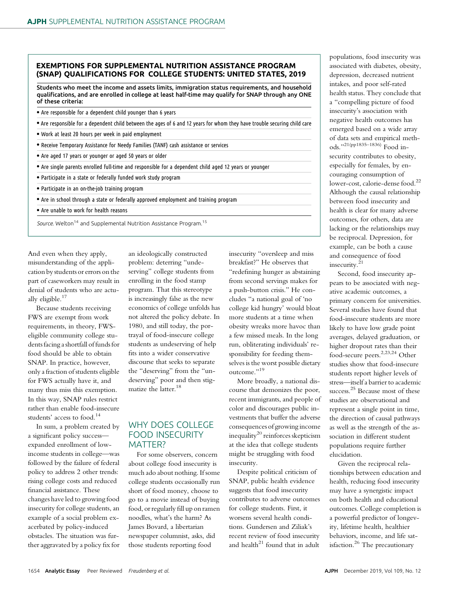#### EXEMPTIONS FOR SUPPLEMENTAL NUTRITION ASSISTANCE PROGRAM (SNAP) QUALIFICATIONS FOR COLLEGE STUDENTS: UNITED STATES, 2019

Students who meet the income and assets limits, immigration status requirements, and household qualifications, and are enrolled in college at least half-time may qualify for SNAP through any ONE of these criteria:

- Are responsible for a dependent child younger than 6 years
- <sup>d</sup> Are responsible for a dependent child between the ages of 6 and 12 years for whom they have trouble securing child care
- . Work at least 20 hours per week in paid employment
- Receive Temporary Assistance for Needy Families (TANF) cash assistance or services
- Are aged 17 years or younger or aged 50 years or older
- Are single parents enrolled full-time and responsible for a dependent child aged 12 years or younger
- Participate in a state or federally funded work study program
- Participate in an on-the-job training program
- Are in school through a state or federally approved employment and training program
- Are unable to work for health reasons
- Source. Welton<sup>14</sup> and Supplemental Nutrition Assistance Program.<sup>15</sup>

And even when they apply, misunderstanding of the application by students or errors on the part of caseworkers may result in denial of students who are actually eligible. $17$ 

Because students receiving FWS are exempt from work requirements, in theory, FWSeligible community college students facing a shortfall of funds for food should be able to obtain SNAP. In practice, however, only a fraction of students eligible for FWS actually have it, and many thus miss this exemption. In this way, SNAP rules restrict rather than enable food-insecure students' access to food.<sup>14</sup>

In sum, a problem created by a significant policy success expanded enrollment of lowincome students in college—was followed by the failure of federal policy to address 2 other trends: rising college costs and reduced financial assistance. These changes have led to growing food insecurity for college students, an example of a social problem exacerbated by policy-induced obstacles. The situation was further aggravated by a policy fix for

an ideologically constructed problem: deterring "undeserving" college students from enrolling in the food stamp program. That this stereotype is increasingly false as the new economics of college unfolds has not altered the policy debate. In 1980, and still today, the portrayal of food-insecure college students as undeserving of help fits into a wider conservative discourse that seeks to separate the "deserving" from the "undeserving" poor and then stigmatize the latter.<sup>18</sup>

# WHY DOES COLLEGE FOOD INSECURITY MATTER?

For some observers, concern about college food insecurity is much ado about nothing. If some college students occasionally run short of food money, choose to go to a movie instead of buying food, or regularly fill up on ramen noodles, what's the harm? As James Bovard, a libertarian newspaper columnist, asks, did those students reporting food

insecurity "oversleep and miss breakfast?" He observes that "redefining hunger as abstaining from second servings makes for a push-button crisis." He concludes "a national goal of 'no college kid hungry' would bloat more students at a time when obesity wreaks more havoc than a few missed meals. In the long run, obliterating individuals' responsibility for feeding themselves is the worst possible dietary outcome."<sup>19</sup>

More broadly, a national discourse that demonizes the poor, recent immigrants, and people of color and discourages public investments that buffer the adverse consequences of growing income inequality<sup>20</sup> reinforces skepticism at the idea that college students might be struggling with food insecurity.

Despite political criticism of SNAP, public health evidence suggests that food insecurity contributes to adverse outcomes for college students. First, it worsens several health conditions. Gundersen and Ziliak's recent review of food insecurity and health $^{21}$  found that in adult

populations, food insecurity was associated with diabetes, obesity, depression, decreased nutrient intakes, and poor self-rated health status. They conclude that a "compelling picture of food insecurity's association with negative health outcomes has emerged based on a wide array of data sets and empirical methods."21(pp1835–1836) Food insecurity contributes to obesity, especially for females, by encouraging consumption of lower-cost, calorie-dense food.<sup>22</sup> Although the causal relationship between food insecurity and health is clear for many adverse outcomes, for others, data are lacking or the relationships may be reciprocal. Depression, for example, can be both a cause and consequence of food insecurity.<sup>21</sup>

Second, food insecurity appears to be associated with negative academic outcomes, a primary concern for universities. Several studies have found that food-insecure students are more likely to have low grade point averages, delayed graduation, or higher dropout rates than their food-secure peers.2,23,24 Other studies show that food-insecure students report higher levels of stress—itself a barrier to academic success.<sup>25</sup> Because most of these studies are observational and represent a single point in time, the direction of causal pathways as well as the strength of the association in different student populations require further elucidation.

Given the reciprocal relationships between education and health, reducing food insecurity may have a synergistic impact on both health and educational outcomes. College completion is a powerful predictor of longevity, lifetime health, healthier behaviors, income, and life satisfaction.<sup>26</sup> The precautionary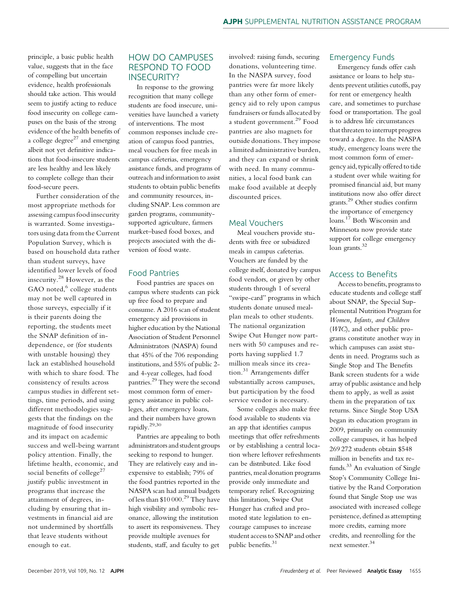principle, a basic public health value, suggests that in the face of compelling but uncertain evidence, health professionals should take action. This would seem to justify acting to reduce food insecurity on college campuses on the basis of the strong evidence of the health benefits of a college degree $^{27}$  and emerging albeit not yet definitive indications that food-insecure students are less healthy and less likely to complete college than their food-secure peers.

Further consideration of the most appropriate methods for assessing campus food insecurity is warranted. Some investigators using data from the Current Population Survey, which is based on household data rather than student surveys, have identified lower levels of food insecurity.<sup>28</sup> However, as the GAO noted,<sup>6</sup> college students may not be well captured in those surveys, especially if it is their parents doing the reporting, the students meet the SNAP definition of independence, or (for students with unstable housing) they lack an established household with which to share food. The consistency of results across campus studies in different settings, time periods, and using different methodologies suggests that the findings on the magnitude of food insecurity and its impact on academic success and well-being warrant policy attention. Finally, the lifetime health, economic, and social benefits of college<sup>27</sup> justify public investment in programs that increase the attainment of degrees, including by ensuring that investments in financial aid are not undermined by shortfalls that leave students without enough to eat.

## HOW DO CAMPUSES RESPOND TO FOOD INSECURITY?

In response to the growing recognition that many college students are food insecure, universities have launched a variety of interventions. The most common responses include creation of campus food pantries, meal vouchers for free meals in campus cafeterias, emergency assistance funds, and programs of outreach and information to assist students to obtain public benefits and community resources, including SNAP. Less common are garden programs, communitysupported agriculture, farmers market–based food boxes, and projects associated with the diversion of food waste.

#### Food Pantries

Food pantries are spaces on campus where students can pick up free food to prepare and consume. A 2016 scan of student emergency aid provisions in higher education by the National Association of Student Personnel Administrators (NASPA) found that 45% of the 706 responding institutions, and 55% of public 2 and 4-year colleges, had food pantries.<sup>29</sup> They were the second most common form of emergency assistance in public colleges, after emergency loans, and their numbers have grown rapidly.29,30

Pantries are appealing to both administrators and student groups seeking to respond to hunger. They are relatively easy and inexpensive to establish; 79% of the food pantries reported in the NASPA scan had annual budgets of less than  $$10,000.<sup>29</sup>$  They have high visibility and symbolic resonance, allowing the institution to assert its responsiveness. They provide multiple avenues for students, staff, and faculty to get

involved: raising funds, securing donations, volunteering time. In the NASPA survey, food pantries were far more likely than any other form of emergency aid to rely upon campus fundraisers or funds allocated by a student government.<sup>29</sup> Food pantries are also magnets for outside donations. They impose a limited administrative burden, and they can expand or shrink with need. In many communities, a local food bank can make food available at deeply discounted prices.

#### Meal Vouchers

Meal vouchers provide students with free or subsidized meals in campus cafeterias. Vouchers are funded by the college itself, donated by campus food vendors, or given by other students through 1 of several "swipe-card" programs in which students donate unused mealplan meals to other students. The national organization Swipe Out Hunger now partners with 50 campuses and reports having supplied 1.7 million meals since its creation.<sup>31</sup> Arrangements differ substantially across campuses, but participation by the food service vendor is necessary.

Some colleges also make free food available to students via an app that identifies campus meetings that offer refreshments or by establishing a central location where leftover refreshments can be distributed. Like food pantries, meal donation programs provide only immediate and temporary relief. Recognizing this limitation, Swipe Out Hunger has crafted and promoted state legislation to encourage campuses to increase student access to SNAP and other public benefits.<sup>31</sup>

#### Emergency Funds

Emergency funds offer cash assistance or loans to help students prevent utilities cutoffs, pay for rent or emergency health care, and sometimes to purchase food or transportation. The goal is to address life circumstances that threaten to interrupt progress toward a degree. In the NASPA study, emergency loans were the most common form of emergency aid, typically offered to tide a student over while waiting for promised financial aid, but many institutions now also offer direct grants.<sup>29</sup> Other studies confirm the importance of emergency loans.<sup>17</sup> Both Wisconsin and Minnesota now provide state support for college emergency loan grants.<sup>32</sup>

#### Access to Benefits

Access to benefits, programs to educate students and college staff about SNAP, the Special Supplemental Nutrition Program for Women, Infants, and Children (WIC), and other public programs constitute another way in which campuses can assist students in need. Programs such as Single Stop and The Benefits Bank screen students for a wide array of public assistance and help them to apply, as well as assist them in the preparation of tax returns. Since Single Stop USA began its education program in 2009, primarily on community college campuses, it has helped 269 272 students obtain \$548 million in benefits and tax refunds.<sup>33</sup> An evaluation of Single Stop's Community College Initiative by the Rand Corporation found that Single Stop use was associated with increased college persistence, defined as attempting more credits, earning more credits, and reenrolling for the next semester.34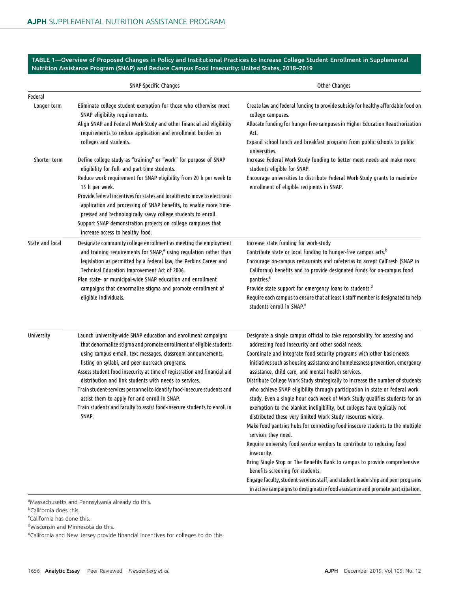TABLE 1—Overview of Proposed Changes in Policy and Institutional Practices to Increase College Student Enrollment in Supplemental Nutrition Assistance Program (SNAP) and Reduce Campus Food Insecurity: United States, 2018–2019

|                 | SNAP-Specific Changes                                                                                                                                                                                                                                                                                                                                                                                                                                                                                                                                                                                          | Other Changes                                                                                                                                                                                                                                                                                                                                                                                                                                                                                                                                                                                                                                                                                                                                                                                                                                                                                                                                                                                                                                                                                                                                                                                                                         |
|-----------------|----------------------------------------------------------------------------------------------------------------------------------------------------------------------------------------------------------------------------------------------------------------------------------------------------------------------------------------------------------------------------------------------------------------------------------------------------------------------------------------------------------------------------------------------------------------------------------------------------------------|---------------------------------------------------------------------------------------------------------------------------------------------------------------------------------------------------------------------------------------------------------------------------------------------------------------------------------------------------------------------------------------------------------------------------------------------------------------------------------------------------------------------------------------------------------------------------------------------------------------------------------------------------------------------------------------------------------------------------------------------------------------------------------------------------------------------------------------------------------------------------------------------------------------------------------------------------------------------------------------------------------------------------------------------------------------------------------------------------------------------------------------------------------------------------------------------------------------------------------------|
| Federal         |                                                                                                                                                                                                                                                                                                                                                                                                                                                                                                                                                                                                                |                                                                                                                                                                                                                                                                                                                                                                                                                                                                                                                                                                                                                                                                                                                                                                                                                                                                                                                                                                                                                                                                                                                                                                                                                                       |
| Longer term     | Eliminate college student exemption for those who otherwise meet<br>SNAP eligibility requirements.<br>Align SNAP and Federal Work-Study and other financial aid eligibility<br>requirements to reduce application and enrollment burden on<br>colleges and students.                                                                                                                                                                                                                                                                                                                                           | Create law and federal funding to provide subsidy for healthy affordable food on<br>college campuses.<br>Allocate funding for hunger-free campuses in Higher Education Reauthorization<br>Act.<br>Expand school lunch and breakfast programs from public schools to public<br>universities.                                                                                                                                                                                                                                                                                                                                                                                                                                                                                                                                                                                                                                                                                                                                                                                                                                                                                                                                           |
| Shorter term    | Define college study as "training" or "work" for purpose of SNAP<br>eligibility for full- and part-time students.<br>Reduce work requirement for SNAP eligibility from 20 h per week to<br>15 h per week.<br>Provide federal incentives for states and localities to move to electronic<br>application and processing of SNAP benefits, to enable more time-<br>pressed and technologically savvy college students to enroll.<br>Support SNAP demonstration projects on college campuses that<br>increase access to healthy food.                                                                              | Increase Federal Work-Study funding to better meet needs and make more<br>students eligible for SNAP.<br>Encourage universities to distribute Federal Work-Study grants to maximize<br>enrollment of eligible recipients in SNAP.                                                                                                                                                                                                                                                                                                                                                                                                                                                                                                                                                                                                                                                                                                                                                                                                                                                                                                                                                                                                     |
| State and local | Designate community college enrollment as meeting the employment<br>and training requirements for SNAP, <sup>a</sup> using regulation rather than<br>legislation as permitted by a federal law, the Perkins Career and<br>Technical Education Improvement Act of 2006.<br>Plan state- or municipal-wide SNAP education and enrollment<br>campaigns that denormalize stigma and promote enrollment of<br>eligible individuals.                                                                                                                                                                                  | Increase state funding for work-study<br>Contribute state or local funding to hunger-free campus acts. <sup>b</sup><br>Encourage on-campus restaurants and cafeterias to accept CalFresh (SNAP in<br>California) benefits and to provide designated funds for on-campus food<br>pantries. <sup>c</sup><br>Provide state support for emergency loans to students. <sup>d</sup><br>Require each campus to ensure that at least 1 staff member is designated to help<br>students enroll in SNAP. <sup>e</sup>                                                                                                                                                                                                                                                                                                                                                                                                                                                                                                                                                                                                                                                                                                                            |
| University      | Launch university-wide SNAP education and enrollment campaigns<br>that denormalize stigma and promote enrollment of eligible students<br>using campus e-mail, text messages, classroom announcements,<br>listing on syllabi, and peer outreach programs.<br>Assess student food insecurity at time of registration and financial aid<br>distribution and link students with needs to services.<br>Train student-services personnel to identify food-insecure students and<br>assist them to apply for and enroll in SNAP.<br>Train students and faculty to assist food-insecure students to enroll in<br>SNAP. | Designate a single campus official to take responsibility for assessing and<br>addressing food insecurity and other social needs.<br>Coordinate and integrate food security programs with other basic-needs<br>initiatives such as housing assistance and homelessness prevention, emergency<br>assistance, child care, and mental health services.<br>Distribute College Work Study strategically to increase the number of students<br>who achieve SNAP eligibility through participation in state or federal work<br>study. Even a single hour each week of Work Study qualifies students for an<br>exemption to the blanket ineligibility, but colleges have typically not<br>distributed these very limited Work Study resources widely.<br>Make food pantries hubs for connecting food-insecure students to the multiple<br>services they need.<br>Require university food service vendors to contribute to reducing food<br>insecurity.<br>Bring Single Stop or The Benefits Bank to campus to provide comprehensive<br>benefits screening for students.<br>Engage faculty, student-services staff, and student leadership and peer programs<br>in active campaigns to destigmatize food assistance and promote participation. |

a<br>Massachusetts and Pennsylvania already do this.

<sup>b</sup>California does this.

<sup>e</sup>California and New Jersey provide financial incentives for colleges to do this.

<sup>&</sup>lt;sup>c</sup>California has done this.

d Wisconsin and Minnesota do this.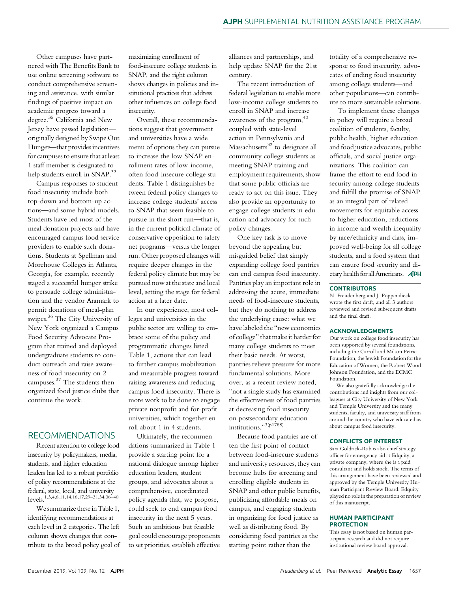Other campuses have partnered with The Benefits Bank to use online screening software to conduct comprehensive screening and assistance, with similar findings of positive impact on academic progress toward a degree.<sup>35</sup> California and New Jersey have passed legislation originally designed by Swipe Out Hunger—that provides incentives for campuses to ensure that at least 1 staff member is designated to help students enroll in SNAP.<sup>32</sup>

Campus responses to student food insecurity include both top-down and bottom-up actions—and some hybrid models. Students have led most of the meal donation projects and have encouraged campus food service providers to enable such donations. Students at Spellman and Morehouse Colleges in Atlanta, Georgia, for example, recently staged a successful hunger strike to persuade college administration and the vendor Aramark to permit donations of meal-plan swipes.<sup>36</sup> The City University of New York organized a Campus Food Security Advocate Program that trained and deployed undergraduate students to conduct outreach and raise awareness of food insecurity on 2 campuses.<sup>37</sup> The students then organized food justice clubs that continue the work.

#### RECOMMENDATIONS

Recent attention to college food insecurity by policymakers, media, students, and higher education leaders has led to a robust portfolio of policy recommendations at the federal, state, local, and university levels.1,3,4,6,11,14,16,17,29–31,34,36–<sup>40</sup>

We summarize these in Table 1, identifying recommendations at each level in 2 categories. The left column shows changes that contribute to the broad policy goal of maximizing enrollment of food-insecure college students in SNAP, and the right column shows changes in policies and institutional practices that address other influences on college food insecurity.

Overall, these recommendations suggest that government and universities have a wide menu of options they can pursue to increase the low SNAP enrollment rates of low-income, often food-insecure college students. Table 1 distinguishes between federal policy changes to increase college students' access to SNAP that seem feasible to pursue in the short run—that is, in the current political climate of conservative opposition to safety net programs—versus the longer run. Other proposed changes will require deeper changes in the federal policy climate but may be pursued now at the state and local level, setting the stage for federal action at a later date.

In our experience, most colleges and universities in the public sector are willing to embrace some of the policy and programmatic changes listed Table 1, actions that can lead to further campus mobilization and measurable progress toward raising awareness and reducing campus food insecurity. There is more work to be done to engage private nonprofit and for-profit universities, which together enroll about 1 in 4 students.

Ultimately, the recommendations summarized in Table 1 provide a starting point for a national dialogue among higher education leaders, student groups, and advocates about a comprehensive, coordinated policy agenda that, we propose, could seek to end campus food insecurity in the next 5 years. Such an ambitious but feasible goal could encourage proponents to set priorities, establish effective

alliances and partnerships, and help update SNAP for the 21st century.

The recent introduction of federal legislation to enable more low-income college students to enroll in SNAP and increase awareness of the program, $40$ coupled with state-level action in Pennsylvania and Massachusetts $32$  to designate all community college students as meeting SNAP training and employment requirements, show that some public officials are ready to act on this issue. They also provide an opportunity to engage college students in education and advocacy for such policy changes.

One key task is to move beyond the appealing but misguided belief that simply expanding college food pantries can end campus food insecurity. Pantries play an important role in addressing the acute, immediate needs of food-insecure students, but they do nothing to address the underlying cause: what we have labeled the "new economics of college" that make it harder for many college students to meet their basic needs. At worst, pantries relieve pressure for more fundamental solutions. Moreover, as a recent review noted, "not a single study has examined the effectiveness of food pantries at decreasing food insecurity on postsecondary education institutions."3(p1788)

Because food pantries are often the first point of contact between food-insecure students and university resources, they can become hubs for screening and enrolling eligible students in SNAP and other public benefits, publicizing affordable meals on campus, and engaging students in organizing for food justice as well as distributing food. By considering food pantries as the starting point rather than the

totality of a comprehensive response to food insecurity, advocates of ending food insecurity among college students—and other populations—can contribute to more sustainable solutions.

To implement these changes in policy will require a broad coalition of students, faculty, public health, higher education and food justice advocates, public officials, and social justice organizations. This coalition can frame the effort to end food insecurity among college students and fulfill the promise of SNAP as an integral part of related movements for equitable access to higher education, reductions in income and wealth inequality by race/ethnicity and class, improved well-being for all college students, and a food system that can ensure food security and dietary health for all Americans. **AJPH** 

#### **CONTRIBUTORS**

N. Freudenberg and J. Poppendieck wrote the first draft, and all 3 authors reviewed and revised subsequent drafts and the final draft.

#### ACKNOWLEDGMENTS

Our work on college food insecurity has been supported by several foundations, including the Carroll and Milton Petrie Foundation, the Jewish Foundation for the Education of Women, the Robert Wood Johnson Foundation, and the ECMC Foundation.

We also gratefully acknowledge the contributions and insights from our colleagues at City University of New York and Temple University and the many students, faculty, and university staff from around the country who have educated us about campus food insecurity.

#### CONFLICTS OF INTEREST

Sara Goldrick-Rab is also chief strategy officer for emergency aid at Edquity, a private company, where she is a paid consultant and holds stock. The terms of this arrangement have been reviewed and approved by the Temple University Human Participant Review Board. Edquity played no role in the preparation or review of this manuscript.

#### HUMAN PARTICIPANT **PROTECTION**

This essay is not based on human participant research and did not require institutional review board approval.